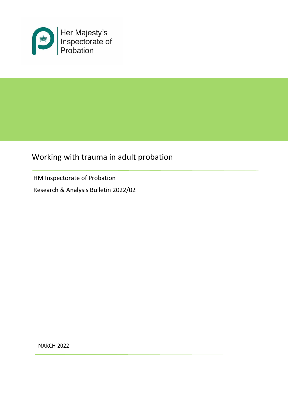

# Working with trauma in adult probation

HM Inspectorate of Probation

Research & Analysis Bulletin 2022/02

MARCH 2022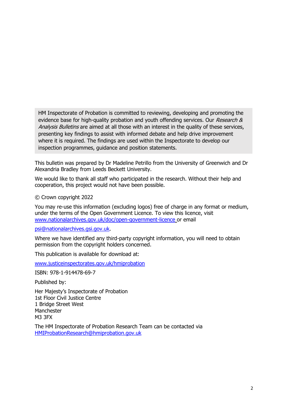HM Inspectorate of Probation is committed to reviewing, developing and promoting the evidence base for high-quality probation and youth offending services. Our Research & Analysis Bulletins are aimed at all those with an interest in the quality of these services, presenting key findings to assist with informed debate and help drive improvement where it is required. The findings are used within the Inspectorate to develop our inspection programmes, guidance and position statements.

This bulletin was prepared by Dr Madeline Petrillo from the University of Greenwich and Dr Alexandria Bradley from Leeds Beckett University.

We would like to thank all staff who participated in the research. Without their help and cooperation, this project would not have been possible.

© Crown copyright 2022

You may re-use this information (excluding logos) free of charge in any format or medium, under the terms of the Open Government Licence. To view this licence, visit [www.nationalarchives.gov.uk/doc/open-government-licence](http://www.nationalarchives.gov.uk/doc/open-government-licence) or email

[psi@nationalarchives.gsi.gov.uk.](mailto:psi@nationalarchives.gsi.gov.uk)

Where we have identified any third-party copyright information, you will need to obtain permission from the copyright holders concerned.

This publication is available for download at:

[www.justiceinspectorates.gov.uk/hmiprobation](http://www.justiceinspectorates.gov.uk/hmiprobation)

ISBN: 978-1-914478-69-7

Published by:

Her Majesty's Inspectorate of Probation 1st Floor Civil Justice Centre 1 Bridge Street West **Manchester** M3 3FX

The HM Inspectorate of Probation Research Team can be contacted via [HMIProbationResearch@hmiprobation.gov.uk](mailto:HMIProbationResearch@hmiprobation.gov.uk)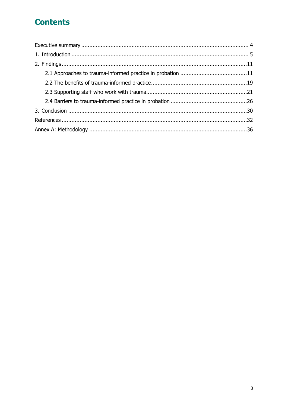# **Contents**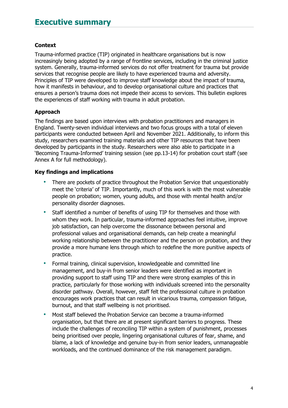### <span id="page-3-0"></span>**Context**

Trauma-informed practice (TIP) originated in healthcare organisations but is now increasingly being adopted by a range of frontline services, including in the criminal justice system. Generally, trauma-informed services do not offer treatment for trauma but provide services that recognise people are likely to have experienced trauma and adversity. Principles of TIP were developed to improve staff knowledge about the impact of trauma, how it manifests in behaviour, and to develop organisational culture and practices that ensures a person's trauma does not impede their access to services. This bulletin explores the experiences of staff working with trauma in adult probation.

### **Approach**

The findings are based upon interviews with probation practitioners and managers in England. Twenty-seven individual interviews and two focus groups with a total of eleven participants were conducted between April and November 2021. Additionally, to inform this study, researchers examined training materials and other TIP resources that have been developed by participants in the study. Researchers were also able to participate in a 'Becoming Trauma-Informed' training session (see pp.13-14) for probation court staff (see Annex A for full methodology).

### **Key findings and implications**

- There are pockets of practice throughout the Probation Service that unquestionably meet the 'criteria' of TIP. Importantly, much of this work is with the most vulnerable people on probation; women, young adults, and those with mental health and/or personality disorder diagnoses.
- Staff identified a number of benefits of using TIP for themselves and those with whom they work. In particular, trauma-informed approaches feel intuitive, improve job satisfaction, can help overcome the dissonance between personal and professional values and organisational demands, can help create a meaningful working relationship between the practitioner and the person on probation, and they provide a more humane lens through which to redefine the more punitive aspects of practice.
- Formal training, clinical supervision, knowledgeable and committed line management, and buy-in from senior leaders were identified as important in providing support to staff using TIP and there were strong examples of this in practice, particularly for those working with individuals screened into the personality disorder pathway. Overall, however, staff felt the professional culture in probation encourages work practices that can result in vicarious trauma, compassion fatigue, burnout, and that staff wellbeing is not prioritised.
- Most staff believed the Probation Service can become a trauma-informed organisation, but that there are at present significant barriers to progress. These include the challenges of reconciling TIP within a system of punishment, processes being prioritised over people, lingering organisational cultures of fear, shame, and blame, a lack of knowledge and genuine buy-in from senior leaders, unmanageable workloads, and the continued dominance of the risk management paradigm.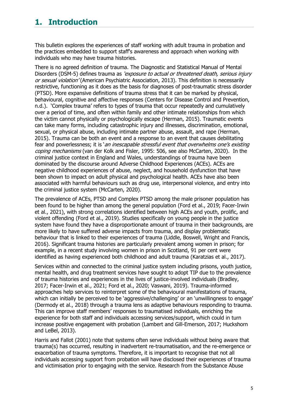# <span id="page-4-0"></span>**1. Introduction**

This bulletin explores the experiences of staff working with adult trauma in probation and the practices embedded to support staff's awareness and approach when working with individuals who may have trauma histories.

There is no agreed definition of trauma. The Diagnostic and Statistical Manual of Mental Disorders (DSM-5) defines trauma as 'exposure to actual or threatened death, serious injury or sexual violation' (American Psychiatric Association, 2013). This definition is necessarily restrictive, functioning as it does as the basis for diagnoses of post-traumatic stress disorder (PTSD). More expansive definitions of trauma stress that it can be marked by physical, behavioural, cognitive and affective responses (Centers for Disease Control and Prevention, n.d.). 'Complex trauma' refers to types of trauma that occur repeatedly and cumulatively over a period of time, and often within family and other intimate relationships from which the victim cannot physically or psychologically escape (Herman, 2015). Traumatic events can take many forms, including catastrophic injury and illnesses, discrimination, emotional, sexual, or physical abuse, including intimate partner abuse, assault, and rape (Herman, 2015). Trauma can be both an event and a response to an event that causes debilitating fear and powerlessness; it is 'an inescapable stressful event that overwhelms one's existing copina mechanisms (van der Kolk and Fisler, 1995: 506, see also McCarten, 2020). In the criminal justice context in England and Wales, understandings of trauma have been dominated by the discourse around Adverse Childhood Experiences (ACEs). ACEs are negative childhood experiences of abuse, neglect, and household dysfunction that have been shown to impact on adult physical and psychological health. ACEs have also been associated with harmful behaviours such as drug use, interpersonal violence, and entry into the criminal justice system (McCarten, 2020).

The prevalence of ACEs, PTSD and Complex PTSD among the male prisoner population has been found to be higher than among the general population (Ford et al., 2019; Facer-Irwin et al., 2021), with strong correlations identified between high ACEs and youth, prolific, and violent offending (Ford et al., 2019). Studies specifically on young people in the justice system have found they have a disproportionate amount of trauma in their backgrounds, are more likely to have suffered adverse impacts from trauma, and display problematic behaviour that is linked to their experiences of trauma (Liddle, Boswell, Wright and Francis, 2016). Significant trauma histories are particularly prevalent among women in prison; for example, in a recent study involving women in prison in Scotland, 91 per cent were identified as having experienced both childhood and adult trauma (Karatzias et al., 2017).

Services within and connected to the criminal justice system including prisons, youth justice, mental health, and drug treatment services have sought to adopt TIP due to the prevalence of trauma histories and experiences in the lives of justice-involved individuals (Bradley, 2017; Facer-Irwin et al., 2021; Ford et al., 2020; Vaswani, 2019). Trauma-informed approaches help services to reinterpret some of the behavioural manifestations of trauma, which can initially be perceived to be 'aggressive/challenging' or an 'unwillingness to engage' (Dermody et al., 2018) through a trauma lens as adaptive behaviours responding to trauma. This can improve staff members' responses to traumatised individuals, enriching the experience for both staff and individuals accessing services/support, which could in turn increase positive engagement with probation (Lambert and Gill-Emerson, 2017; Huckshorn and LeBel, 2013).

Harris and Fallot (2001) note that systems often serve individuals without being aware that trauma(s) has occurred, resulting in inadvertent re-traumatisation, and the re-emergence or exacerbation of trauma symptoms. Therefore, it is important to recognise that not all individuals accessing support from probation will have disclosed their experiences of trauma and victimisation prior to engaging with the service. Research from the Substance Abuse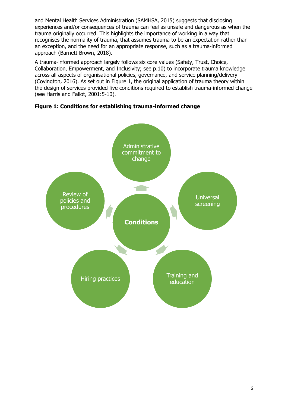and Mental Health Services Administration (SAMHSA, 2015) suggests that disclosing experiences and/or consequences of trauma can feel as unsafe and dangerous as when the trauma originally occurred. This highlights the importance of working in a way that recognises the normality of trauma, that assumes trauma to be an expectation rather than an exception, and the need for an appropriate response, such as a trauma-informed approach (Barnett Brown, 2018).

A trauma-informed approach largely follows six core values (Safety, Trust, Choice, Collaboration, Empowerment, and Inclusivity; see p.10) to incorporate trauma knowledge across all aspects of organisational policies, governance, and service planning/delivery (Covington, 2016). As set out in Figure 1, the original application of trauma theory within the design of services provided five conditions required to establish trauma-informed change (see Harris and Fallot, 2001:5-10).



**Figure 1: Conditions for establishing trauma-informed change**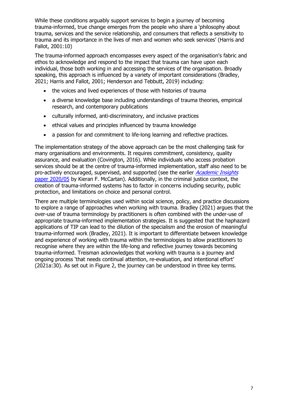While these conditions arguably support services to begin a journey of becoming trauma-informed, true change emerges from the people who share a 'philosophy about trauma, services and the service relationship, and consumers that reflects a sensitivity to trauma and its importance in the lives of men and women who seek services' (Harris and Fallot, 2001:10)

The trauma-informed approach encompasses every aspect of the organisation's fabric and ethos to acknowledge and respond to the impact that trauma can have upon each individual, those both working in and accessing the services of the organisation. Broadly speaking, this approach is influenced by a variety of important considerations (Bradley, 2021; Harris and Fallot, 2001; Henderson and Tebbutt, 2019) including:

- the voices and lived experiences of those with histories of trauma
- a diverse knowledge base including understandings of trauma theories, empirical research, and contemporary publications
- culturally informed, anti-discriminatory, and inclusive practices
- ethical values and principles influenced by trauma knowledge
- a passion for and commitment to life-long learning and reflective practices.

The implementation strategy of the above approach can be the most challenging task for many organisations and environments. It requires commitment, consistency, quality assurance, and evaluation (Covington, 2016). While individuals who access probation services should be at the centre of trauma-informed implementation, staff also need to be pro-actively encouraged, supervised, and supported (see the earlier [Academic Insights](https://www.justiceinspectorates.gov.uk/hmiprobation/wp-content/uploads/sites/5/2020/07/Academic-Insights-McCartan.pdf) [paper 2020/05](https://www.justiceinspectorates.gov.uk/hmiprobation/wp-content/uploads/sites/5/2020/07/Academic-Insights-McCartan.pdf) by Kieran F. McCartan). Additionally, in the criminal justice context, the creation of trauma-informed systems has to factor in concerns including security, public protection, and limitations on choice and personal control.

There are multiple terminologies used within social science, policy, and practice discussions to explore a range of approaches when working with trauma. Bradley (2021) argues that the over-use of trauma terminology by practitioners is often combined with the under-use of appropriate trauma-informed implementation strategies. It is suggested that the haphazard applications of TIP can lead to the dilution of the specialism and the erosion of meaningful trauma-informed work (Bradley, 2021). It is important to differentiate between knowledge and experience of working with trauma within the terminologies to allow practitioners to recognise where they are within the life-long and reflective journey towards becoming trauma-informed. Treisman acknowledges that working with trauma is a journey and ongoing process 'that needs continual attention, re-evaluation, and intentional effort' (2021a:30). As set out in Figure 2, the journey can be understood in three key terms.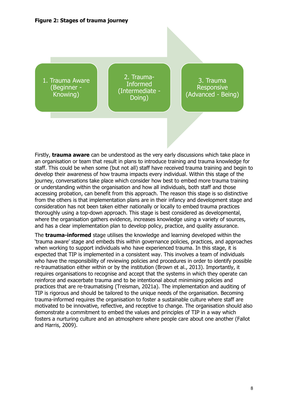

Firstly, **trauma aware** can be understood as the very early discussions which take place in an organisation or team that result in plans to introduce training and trauma knowledge for staff. This could be when some (but not all) staff have received trauma training and begin to develop their awareness of how trauma impacts every individual. Within this stage of the journey, conversations take place which consider how best to embed more trauma training or understanding within the organisation and how all individuals, both staff and those accessing probation, can benefit from this approach. The reason this stage is so distinctive from the others is that implementation plans are in their infancy and development stage and consideration has not been taken either nationally or locally to embed trauma practices thoroughly using a top-down approach. This stage is best considered as developmental, where the organisation gathers evidence, increases knowledge using a variety of sources, and has a clear implementation plan to develop policy, practice, and quality assurance.

The **trauma-informed** stage utilises the knowledge and learning developed within the 'trauma aware' stage and embeds this within governance policies, practices, and approaches when working to support individuals who have experienced trauma. In this stage, it is expected that TIP is implemented in a consistent way. This involves a team of individuals who have the responsibility of reviewing policies and procedures in order to identify possible re-traumatisation either within or by the institution (Brown et al., 2013). Importantly, it requires organisations to recognise and accept that the systems in which they operate can reinforce and exacerbate trauma and to be intentional about minimising policies and practices that are re-traumatising (Treisman, 2021a). The implementation and auditing of TIP is rigorous and should be tailored to the unique needs of the organisation. Becoming trauma-informed requires the organisation to foster a sustainable culture where staff are motivated to be innovative, reflective, and receptive to change. The organisation should also demonstrate a commitment to embed the values and principles of TIP in a way which fosters a nurturing culture and an atmosphere where people care about one another (Fallot and Harris, 2009).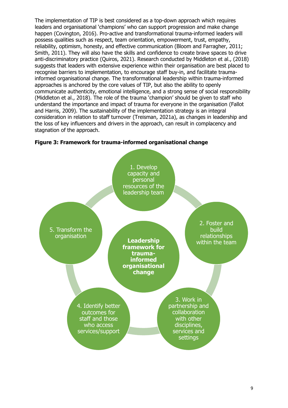The implementation of TIP is best considered as a top-down approach which requires leaders and organisational 'champions' who can support progression and make change happen (Covington, 2016). Pro-active and transformational trauma-informed leaders will possess qualities such as respect, team orientation, empowerment, trust, empathy, reliability, optimism, honesty, and effective communication (Bloom and Farragher, 2011; Smith, 2011). They will also have the skills and confidence to create brave spaces to drive anti-discriminatory practice (Quiros, 2021). Research conducted by Middleton et al., (2018) suggests that leaders with extensive experience within their organisation are best placed to recognise barriers to implementation, to encourage staff buy-in, and facilitate traumainformed organisational change. The transformational leadership within trauma-informed approaches is anchored by the core values of TIP, but also the ability to openly communicate authenticity, emotional intelligence, and a strong sense of social responsibility (Middleton et al., 2018). The role of the trauma 'champion' should be given to staff who understand the importance and impact of trauma for everyone in the organisation (Fallot and Harris, 2009). The sustainability of the implementation strategy is an integral consideration in relation to staff turnover (Treisman, 2021a), as changes in leadership and the loss of key influencers and drivers in the approach, can result in complacency and stagnation of the approach.



#### **Figure 3: Framework for trauma-informed organisational change**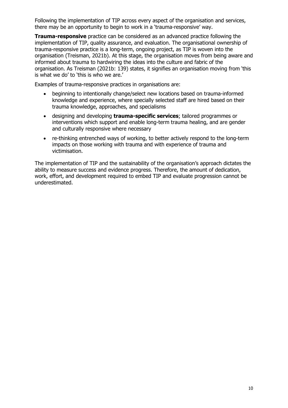Following the implementation of TIP across every aspect of the organisation and services, there may be an opportunity to begin to work in a 'trauma-responsive' way.

**Trauma-responsive** practice can be considered as an advanced practice following the implementation of TIP, quality assurance, and evaluation. The organisational ownership of trauma-responsive practice is a long-term, ongoing project, as TIP is woven into the organisation (Treisman, 2021b). At this stage, the organisation moves from being aware and informed about trauma to hardwiring the ideas into the culture and fabric of the organisation. As Treisman (2021b: 139) states, it signifies an organisation moving from 'this is what we do' to 'this is who we are.'

Examples of trauma-responsive practices in organisations are:

- beginning to intentionally change/select new locations based on trauma-informed knowledge and experience, where specially selected staff are hired based on their trauma knowledge, approaches, and specialisms
- designing and developing **trauma-specific services**; tailored programmes or interventions which support and enable long-term trauma healing, and are gender and culturally responsive where necessary
- re-thinking entrenched ways of working, to better actively respond to the long-term impacts on those working with trauma and with experience of trauma and victimisation.

The implementation of TIP and the sustainability of the organisation's approach dictates the ability to measure success and evidence progress. Therefore, the amount of dedication, work, effort, and development required to embed TIP and evaluate progression cannot be underestimated.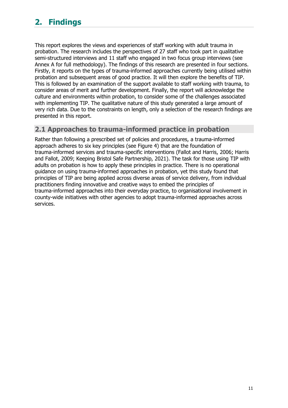# <span id="page-10-0"></span>**2. Findings**

This report explores the views and experiences of staff working with adult trauma in probation. The research includes the perspectives of 27 staff who took part in qualitative semi-structured interviews and 11 staff who engaged in two focus group interviews (see Annex A for full methodology). The findings of this research are presented in four sections. Firstly, it reports on the types of trauma-informed approaches currently being utilised within probation and subsequent areas of good practice. It will then explore the benefits of TIP. This is followed by an examination of the support available to staff working with trauma, to consider areas of merit and further development. Finally, the report will acknowledge the culture and environments within probation, to consider some of the challenges associated with implementing TIP. The qualitative nature of this study generated a large amount of very rich data. Due to the constraints on length, only a selection of the research findings are presented in this report.

# <span id="page-10-1"></span>**2.1 Approaches to trauma-informed practice in probation**

Rather than following a prescribed set of policies and procedures, a trauma-informed approach adheres to six key principles (see Figure 4) that are the foundation of trauma-informed services and trauma-specific interventions (Fallot and Harris, 2006; Harris and Fallot, 2009; Keeping Bristol Safe Partnership, 2021). The task for those using TIP with adults on probation is how to apply these principles in practice. There is no operational guidance on using trauma-informed approaches in probation, yet this study found that principles of TIP are being applied across diverse areas of service delivery, from individual practitioners finding innovative and creative ways to embed the principles of trauma-informed approaches into their everyday practice, to organisational involvement in county-wide initiatives with other agencies to adopt trauma-informed approaches across services.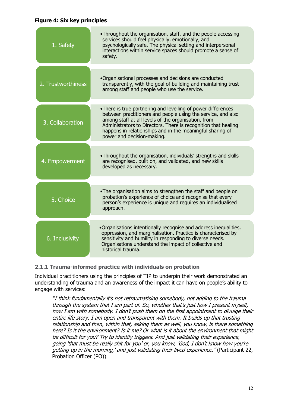### **Figure 4: Six key principles**

| 1. Safety          | •Throughout the organisation, staff, and the people accessing<br>services should feel physically, emotionally, and<br>psychologically safe. The physical setting and interpersonal<br>interactions within service spaces should promote a sense of<br>safety.                                                                                    |
|--------------------|--------------------------------------------------------------------------------------------------------------------------------------------------------------------------------------------------------------------------------------------------------------------------------------------------------------------------------------------------|
| 2. Trustworthiness | •Organisational processes and decisions are conducted<br>transparently, with the goal of building and maintaining trust<br>among staff and people who use the service.                                                                                                                                                                           |
| 3. Collaboration   | •There is true partnering and levelling of power differences<br>between practitioners and people using the service, and also<br>among staff at all levels of the organisation, from<br>Administrators to Directors. There is recognition that healing<br>happens in relationships and in the meaningful sharing of<br>power and decision-making. |
| 4. Empowerment     | •Throughout the organisation, individuals' strengths and skills<br>are recognised, built on, and validated, and new skills<br>developed as necessary.                                                                                                                                                                                            |
| 5. Choice          | . The organisation aims to strengthen the staff and people on<br>probation's experience of choice and recognise that every<br>person's experience is unique and requires an individualised<br>approach.                                                                                                                                          |
| 6. Inclusivity     | .Organisations intentionally recognise and address inequalities,<br>oppression, and marginalisation. Practice is characterised by<br>sensitivity and humility in responding to diverse needs.<br>Organisations understand the impact of collective and<br>historical trauma.                                                                     |

# **2.1.1 Trauma-informed practice with individuals on probation**

Individual practitioners using the principles of TIP to underpin their work demonstrated an understanding of trauma and an awareness of the impact it can have on people's ability to engage with services:

"I think fundamentally it's not retraumatising somebody, not adding to the trauma through the system that I am part of. So, whether that's just how I present myself, how I am with somebody. I don't push them on the first appointment to divulge their entire life story. I am open and transparent with them. It builds up that trusting relationship and then, within that, asking them as well, you know, is there something here? Is it the environment? Is it me? Or what is it about the environment that might be difficult for you? Try to identify triggers. And just validating their experience, going 'that must be really shit for you' or, you know, 'God, I don't know how you're getting up in the morning,' and just validating their lived experience." (Participant 22, Probation Officer (PO))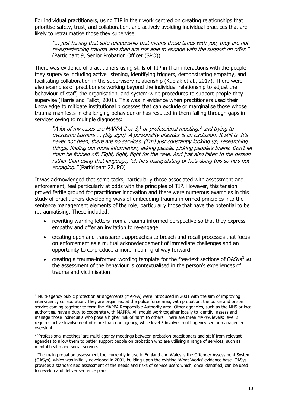For individual practitioners, using TIP in their work centred on creating relationships that prioritise safety, trust, and collaboration, and actively avoiding individual practices that are likely to retraumatise those they supervise:

"... just having that safe relationship that means those times with you, they are not re-experiencing trauma and then are not able to engage with the support on offer." (Participant 9, Senior Probation Officer (SPO))

There was evidence of practitioners using skills of TIP in their interactions with the people they supervise including active listening, identifying triggers, demonstrating empathy, and facilitating collaboration in the supervisory relationship (Kubiak et al., 2017). There were also examples of practitioners working beyond the individual relationship to adjust the behaviour of staff, the organisation, and system-wide procedures to support people they supervise (Harris and Fallot, 2001). This was in evidence when practitioners used their knowledge to mitigate institutional processes that can exclude or marginalise those whose trauma manifests in challenging behaviour or has resulted in them falling through gaps in services owing to multiple diagnoses:

"A lot of my cases are MAPPA 2 or 3,[1](#page-12-0) or professional meeting, $^2$  $^2$  and trying to overcome barriers ... (big sigh). A personality disorder is an exclusion. It still is. It's never not been, there are no services. (I'm) just constantly looking up, researching things, finding out more information, asking people, picking people's brains. Don't let them be fobbed off. Fight, fight, fight for the case. And just also listen to the person rather than using that language, 'oh he's manipulating or he's doing this so he's not engaging." (Participant 22, PO)

It was acknowledged that some tasks, particularly those associated with assessment and enforcement, feel particularly at odds with the principles of TIP. However, this tension proved fertile ground for practitioner innovation and there were numerous examples in this study of practitioners developing ways of embedding trauma-informed principles into the sentence management elements of the role, particularly those that have the potential to be retraumatising. These included:

- rewriting warning letters from a trauma-informed perspective so that they express empathy and offer an invitation to re-engage
- creating open and transparent approaches to breach and recall processes that focus on enforcement as a mutual acknowledgement of immediate challenges and an opportunity to co-produce a more meaningful way forward
- creating a trauma-informed wording template for the free-text sections of OASys<sup>[3](#page-12-2)</sup> so the assessment of the behaviour is contextualised in the person's experiences of trauma and victimisation

<span id="page-12-0"></span> $1$  Multi-agency public protection arrangements (MAPPA) were introduced in 2001 with the aim of improving inter-agency collaboration. They are organised at the police force area, with probation, the police and prison service coming together to form the MAPPA Responsible Authority area. Other agencies, such as the NHS or local authorities, have a duty to cooperate with MAPPA. All should work together locally to identify, assess and manage those individuals who pose a higher risk of harm to others. There are three MAPPA levels; level 2 requires active involvement of more than one agency, while level 3 involves multi-agency senior management oversight.

<span id="page-12-1"></span><sup>2</sup> 'Professional meetings' are multi-agency meetings between probation practitioners and staff from relevant agencies to allow them to better support people on probation who are utilising a range of services, such as mental health and social services.

<span id="page-12-2"></span><sup>&</sup>lt;sup>3</sup> The main probation assessment tool currently in use in England and Wales is the Offender Assessment System (OASys), which was initially developed in 2001, building upon the existing 'What Works' evidence base. OASys provides a standardised assessment of the needs and risks of service users which, once identified, can be used to develop and deliver sentence plans.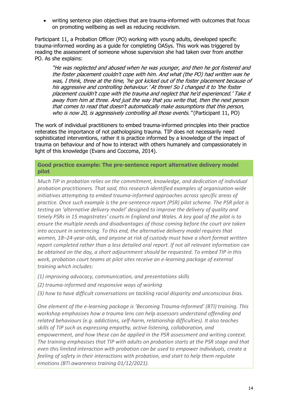• writing sentence plan objectives that are trauma-informed with outcomes that focus on promoting wellbeing as well as reducing recidivism.

Participant 11, a Probation Officer (PO) working with young adults, developed specific trauma-informed wording as a guide for completing OASys. This work was triggered by reading the assessment of someone whose supervision she had taken over from another PO. As she explains:

"He was neglected and abused when he was younger, and then he got fostered and the foster placement couldn't cope with him. And what (the PO) had written was he was, I think, three at the time, 'he got kicked out of the foster placement because of his aggressive and controlling behaviour.' At three! So I changed it to 'the foster placement couldn't cope with the trauma and neglect that he'd experienced.' Take it away from him at three. And just the way that you write that, then the next person that comes to read that doesn't automatically make assumptions that this person, who is now 20, is aggressively controlling all those events." (Participant 11, PO)

The work of individual practitioners to embed trauma-informed principles into their practice reiterates the importance of not pathologising trauma. TIP does not necessarily need sophisticated interventions, rather it is practice informed by a knowledge of the impact of trauma on behaviour and of how to interact with others humanely and compassionately in light of this knowledge (Evans and Coccoma, 2014).

**Good practice example: The pre-sentence report alternative delivery model pilot**

*Much TIP in probation relies on the commitment, knowledge, and dedication of individual probation practitioners. That said, this research identified examples of organisation-wide initiatives attempting to embed trauma-informed approaches across specific areas of practice. Once such example is the pre-sentence report (PSR) pilot scheme. The PSR pilot is testing an 'alternative delivery model' designed to improve the delivery of quality and timely PSRs in 15 magistrates' courts in England and Wales. A key goal of the pilot is to ensure the multiple needs and disadvantages of those coming before the court are taken into account in sentencing. To this end, the alternative delivery model requires that women, 18–24-year-olds, and anyone at risk of custody must have a short format written report completed rather than a less detailed oral report. If not all relevant information can be obtained on the day, a short adjournment should be requested. To embed TIP in this*  work, probation court teams at pilot sites receive an e-learning package of external *training which includes:*

- *(1) improving advocacy, communication, and presentations skills*
- *(2) trauma-informed and responsive ways of working*
- *(3) how to have difficult conversations on tackling racial disparity and unconscious bias.*

*One element of the e-learning package is 'Becoming Trauma-Informed' (BTI) training. This workshop emphasises how a trauma lens can help assessors understand offending and related behaviours (e.g. addictions, self-harm, relationship difficulties). It also teaches skills of TIP such as expressing empathy, active listening, collaboration, and empowerment, and how these can be applied in the PSR assessment and writing context. The training emphasises that TIP with adults on probation starts at the PSR stage and that even this limited interaction with probation can be used to empower individuals, create a feeling of safety in their interactions with probation, and start to help them regulate emotions (BTI awareness training 01/12/2021).*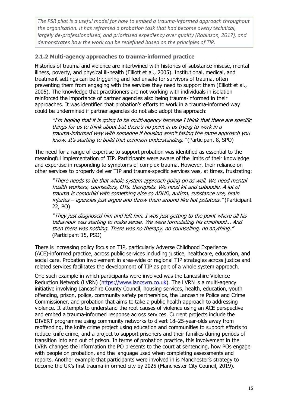*The PSR pilot is a useful model for how to embed a trauma-informed approach throughout the organisation. It has reframed a probation task that had become overly technical, largely de-professionalised, and prioritised expediency over quality (Robinson, 2017), and demonstrates how the work can be redefined based on the principles of TIP.*

# **2.1.2 Multi-agency approaches to trauma-informed practice**

Histories of trauma and violence are intertwined with histories of substance misuse, mental illness, poverty, and physical ill-health (Elliott et al., 2005). Institutional, medical, and treatment settings can be triggering and feel unsafe for survivors of trauma, often preventing them from engaging with the services they need to support them (Elliott et al., 2005). The knowledge that practitioners are not working with individuals in isolation reinforced the importance of partner agencies also being trauma-informed in their approaches. It was identified that probation's efforts to work in a trauma-informed way could be undermined if partner agencies do not also adopt the approach:

"I'm hoping that it is going to be multi-agency because I think that there are specific things for us to think about but there's no point in us trying to work in a trauma-informed way with someone if housing aren't taking the same approach you know. It's starting to build that common understanding." (Participant 8, SPO)

The need for a range of expertise to support probation was identified as essential to the meaningful implementation of TIP. Participants were aware of the limits of their knowledge and expertise in responding to symptoms of complex trauma. However, their reliance on other services to properly deliver TIP and trauma-specific services was, at times, frustrating:

"There needs to be that whole system approach going on as well. We need mental health workers, counsellors, OTs, therapists. We need kit and caboodle. A lot of trauma is comorbid with something else so ADHD, autism, substance use, brain injuries – agencies just argue and throw them around like hot potatoes." (Participant 22, PO)

"They just diagnosed him and left him. I was just getting to the point where all his behaviour was starting to make sense. We were formulating his childhood... And then there was nothing. There was no therapy, no counselling, no anything." (Participant 15, PSO)

There is increasing policy focus on TIP, particularly Adverse Childhood Experience (ACE)-informed practice, across public services including justice, healthcare, education, and social care. Probation involvement in area-wide or regional TIP strategies across justice and related services facilitates the development of TIP as part of a whole system approach.

One such example in which participants were involved was the Lancashire Violence Reduction Network (LVRN) [\(https://www.lancsvrn.co.uk\)](https://www.lancsvrn.co.uk/). The LVRN is a multi-agency initiative involving Lancashire County Council, housing services, health, education, youth offending, prison, police, community safety partnerships, the Lancashire Police and Crime Commissioner, and probation that aims to take a public health approach to addressing violence. It attempts to understand the root causes of violence using an ACE perspective and embed a trauma-informed response across services. Current projects include the DIVERT programme using community networks to divert 18–25-year-olds away from reoffending, the knife crime project using education and communities to support efforts to reduce knife crime, and a project to support prisoners and their families during periods of transition into and out of prison. In terms of probation practice, this involvement in the LVRN changes the information the PO presents to the court at sentencing, how POs engage with people on probation, and the language used when completing assessments and reports. Another example that participants were involved in is Manchester's strategy to become the UK's first trauma-informed city by 2025 (Manchester City Council, 2019).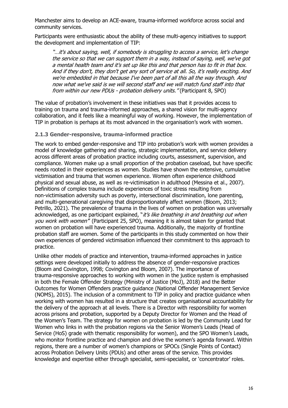Manchester aims to develop an ACE-aware, trauma-informed workforce across social and community services.

Participants were enthusiastic about the ability of these multi-agency initiatives to support the development and implementation of TIP:

"…it's about saying, well, if somebody is struggling to access a service, let's change the service so that we can support them in a way, instead of saying, well, we've got a mental health team and it's set up like this and that person has to fit in that box. And if they don't, they don't get any sort of service at all. So, it's really exciting. And we're embedded in that because I've been part of all this all the way through. And now what we've said is we will second staff and we will match fund staff into that from within our new PDUs - probation delivery units." (Participant 8, SPO)

The value of probation's involvement in these initiatives was that it provides access to training on trauma and trauma-informed approaches, a shared vision for multi-agency collaboration, and it feels like a meaningful way of working. However, the implementation of TIP in probation is perhaps at its most advanced in the organisation's work with women.

#### **2.1.3 Gender-responsive, trauma-informed practice**

The work to embed gender-responsive and TIP into probation's work with women provides a model of knowledge gathering and sharing, strategic implementation, and service delivery across different areas of probation practice including courts, assessment, supervision, and compliance. Women make up a small proportion of the probation caseload, but have specific needs rooted in their experiences as women. Studies have shown the extensive, cumulative victimisation and trauma that women experience. Women often experience childhood physical and sexual abuse, as well as re-victimisation in adulthood (Messina et al., 2007). Definitions of complex trauma include experiences of toxic stress resulting from non-victimisation adversity such as poverty, intersectional discrimination, lone parenting, and multi-generational caregiving that disproportionately affect women (Bloom, 2013; Petrillo, 2021). The prevalence of trauma in the lives of women on probation was universally acknowledged, as one participant explained, "it's like breathing in and breathing out when you work with women" (Participant 25, SPO), meaning it is almost taken for granted that women on probation will have experienced trauma. Additionally, the majority of frontline probation staff are women. Some of the participants in this study commented on how their own experiences of gendered victimisation influenced their commitment to this approach to practice.

Unlike other models of practice and intervention, trauma-informed approaches in justice settings were developed initially to address the absence of gender-responsive practices (Bloom and Covington, 1998; Covington and Bloom, 2007). The importance of trauma-responsive approaches to working with women in the justice system is emphasised in both the Female Offender Strategy (Ministry of Justice (MoJ), 2018) and the Better Outcomes for Women Offenders practice guidance (National Offender Management Service (NOMS), 2015). The inclusion of a commitment to TIP in policy and practice guidance when working with women has resulted in a structure that creates organisational accountability for the delivery of the approach at all levels. There is a Director with responsibility for women across prisons and probation, supported by a Deputy Director for Women and the Head of the Women's Team. The strategy for women on probation is led by the Community Lead for Women who links in with the probation regions via the Senior Women's Leads (Head of Service (HoS) grade with thematic responsibility for women), and the SPO Women's Leads, who monitor frontline practice and champion and drive the women's agenda forward. Within regions, there are a number of women's champions or SPOCs (Single Points of Contact) across Probation Delivery Units (PDUs) and other areas of the service. This provides knowledge and expertise either through specialist, semi-specialist, or 'concentrator' roles.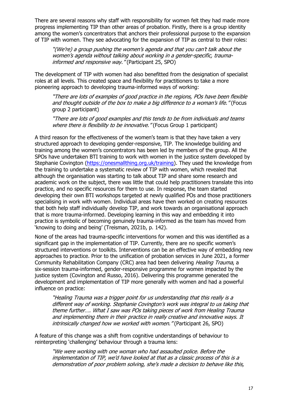There are several reasons why staff with responsibility for women felt they had made more progress implementing TIP than other areas of probation. Firstly, there is a group identity among the women's concentrators that anchors their professional purpose to the expansion of TIP with women. They see advocating for the expansion of TIP as central to their roles:

"(We're) a group pushing the women's agenda and that you can't talk about the women's agenda without talking about working in a gender-specific, traumainformed and responsive way." (Participant 25, SPO)

The development of TIP with women had also benefitted from the designation of specialist roles at all levels. This created space and flexibility for practitioners to take a more pioneering approach to developing trauma-informed ways of working:

"There are lots of examples of good practice in the regions, POs have been flexible and thought outside of the box to make a big difference to a woman's life." (Focus group 2 participant)

"There are lots of good examples and this tends to be from individuals and teams where there is flexibility to be innovative." (Focus Group 1 participant)

A third reason for the effectiveness of the women's team is that they have taken a very structured approach to developing gender-responsive, TIP. The knowledge building and training among the women's concentrators has been led by members of the group. All the SPOs have undertaken BTI training to work with women in the justice system developed by Stephanie Covington [\(https://onesmallthing.org.uk/training\)](https://onesmallthing.org.uk/training). They used the knowledge from the training to undertake a systematic review of TIP with women, which revealed that although the organisation was starting to talk about TIP and share some research and academic work on the subject, there was little that could help practitioners translate this into practice, and no specific resources for them to use. In response, the team started developing their own BTI workshops targeted at newly qualified POs and those practitioners specialising in work with women. Individual areas have then worked on creating resources that both help staff individually develop TIP, and work towards an organisational approach that is more trauma-informed. Developing learning in this way and embedding it into practice is symbolic of becoming genuinely trauma-informed as the team has moved from 'knowing to doing and being' (Treisman, 2021b, p. 142).

None of the areas had trauma-specific interventions for women and this was identified as a significant gap in the implementation of TIP. Currently, there are no specific women's structured interventions or toolkits. Interventions can be an effective way of embedding new approaches to practice. Prior to the unification of probation services in June 2021, a former Community Rehabilitation Company (CRC) area had been delivering *Healing Trauma*, a six-session trauma-informed, gender-responsive programme for women impacted by the justice system (Covington and Russo, 2016). Delivering this programme generated the development and implementation of TIP more generally with women and had a powerful influence on practice:

"Healing Trauma was a trigger point for us understanding that this really is a different way of working. Stephanie Covington's work was integral to us taking that theme further…. What I saw was POs taking pieces of work from Healing Trauma and implementing them in their practice in really creative and innovative ways. It intrinsically changed how we worked with women." (Participant 26, SPO)

A feature of this change was a shift from cognitive understandings of behaviour to reinterpreting 'challenging' behaviour through a trauma lens:

"We were working with one woman who had assaulted police. Before the implementation of TIP, we'd have looked at that as a classic process of this is a demonstration of poor problem solving, she's made a decision to behave like this,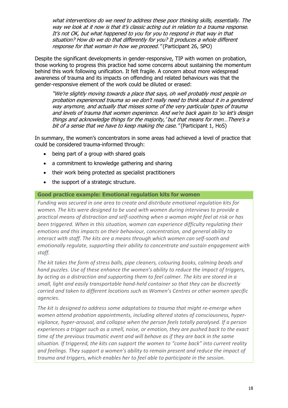what interventions do we need to address these poor thinking skills, essentially. The way we look at it now is that it's classic acting out in relation to a trauma response. It's not OK, but what happened to you for you to respond in that way in that situation? How do we do that differently for you? It produces a whole different response for that woman in how we proceed." (Participant 26, SPO)

Despite the significant developments in gender-responsive, TIP with women on probation, those working to progress this practice had some concerns about sustaining the momentum behind this work following unification. It felt fragile. A concern about more widespread awareness of trauma and its impacts on offending and related behaviours was that the gender-responsive element of the work could be diluted or erased:

"We're slightly moving towards a place that says, oh well probably most people on probation experienced trauma so we don't really need to think about it in a gendered way anymore, and actually that misses some of the very particular types of trauma and levels of trauma that women experience. And we're back again to 'so let's design things and acknowledge things for the majority,' but that means for men…There's <sup>a</sup> bit of a sense that we have to keep making the case." (Participant 1, HoS)

In summary, the women's concentrators in some areas had achieved a level of practice that could be considered trauma-informed through:

- being part of a group with shared goals
- a commitment to knowledge gathering and sharing
- their work being protected as specialist practitioners
- the support of a strategic structure.

#### **Good practice example: Emotional regulation kits for women**

*Funding was secured in one area to create and distribute emotional regulation kits for women. The kits were designed to be used with women during interviews to provide a practical means of distraction and self-soothing when a woman might feel at risk or has been triggered. When in this situation, women can experience difficulty regulating their emotions and this impacts on their behaviour, concentration, and general ability to interact with staff. The kits are a means through which women can self-sooth and emotionally regulate, supporting their ability to concentrate and sustain engagement with staff.* 

*The kit takes the form of stress balls, pipe cleaners, colouring books, calming beads and hand puzzles. Use of these enhance the women's ability to reduce the impact of triggers, by acting as a distraction and supporting them to feel calmer. The kits are stored in a small, light and easily transportable hand-held container so that they can be discreetly carried and taken to different locations such as Women's Centres or other women specific agencies.* 

*The kit is designed to address some adaptations to trauma that might re-emerge when women attend probation appointments, including altered states of consciousness, hypervigilance, hyper-arousal, and collapse when the person feels totally paralysed. If a person experiences a trigger such as a smell, noise, or emotion, they are pushed back to the exact time of the previous traumatic event and will behave as if they are back in the same situation. If triggered, the kits can support the women to "come back" into current reality and feelings. They support a women's ability to remain present and reduce the impact of trauma and triggers, which enables her to feel able to participate in the session.*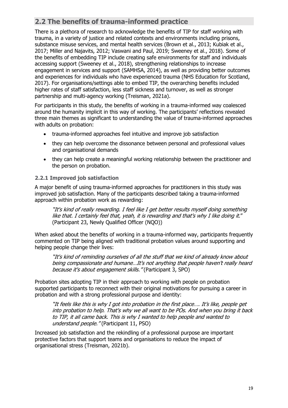# <span id="page-18-0"></span>**2.2 The benefits of trauma-informed practice**

There is a plethora of research to acknowledge the benefits of TIP for staff working with trauma, in a variety of justice and related contexts and environments including prisons, substance misuse services, and mental health services (Brown et al., 2013; Kubiak et al., 2017; Miller and Najavits, 2012; Vaswani and Paul, 2019; Sweeney et al., 2018). Some of the benefits of embedding TIP include creating safe environments for staff and individuals accessing support (Sweeney et al., 2018), strengthening relationships to increase engagement in services and support (SAMHSA, 2014), as well as providing better outcomes and experiences for individuals who have experienced trauma (NHS Education for Scotland, 2017). For organisations/settings able to embed TIP, the overarching benefits included higher rates of staff satisfaction, less staff sickness and turnover, as well as stronger partnership and multi-agency working (Treisman, 2021a).

For participants in this study, the benefits of working in a trauma-informed way coalesced around the humanity implicit in this way of working. The participants' reflections revealed three main themes as significant to understanding the value of trauma-informed approaches with adults on probation:

- trauma-informed approaches feel intuitive and improve job satisfaction
- they can help overcome the dissonance between personal and professional values and organisational demands
- they can help create a meaningful working relationship between the practitioner and the person on probation.

### **2.2.1 Improved job satisfaction**

A major benefit of using trauma-informed approaches for practitioners in this study was improved job satisfaction. Many of the participants described taking a trauma-informed approach within probation work as rewarding:

"It's kind of really rewarding. I feel like I get better results myself doing something like that. I certainly feel that, yeah, it is rewarding and that's why I like doing it." (Participant 23, Newly Qualified Officer (NQO))

When asked about the benefits of working in a trauma-informed way, participants frequently commented on TIP being aligned with traditional probation values around supporting and helping people change their lives:

"It's kind of reminding ourselves of all the stuff that we kind of already know about being compassionate and humane…It's not anything that people haven't really heard because it's about engagement skills." (Participant 3, SPO)

Probation sites adopting TIP in their approach to working with people on probation supported participants to reconnect with their original motivations for pursuing a career in probation and with a strong professional purpose and identity:

"It feels like this is why I got into probation in the first place…. It's like, people get into probation to help. That's why we all want to be POs. And when you bring it back to TIP, it all came back. This is why I wanted to help people and wanted to understand people." (Participant 11, PSO)

Increased job satisfaction and the rekindling of a professional purpose are important protective factors that support teams and organisations to reduce the impact of organisational stress (Treisman, 2021b).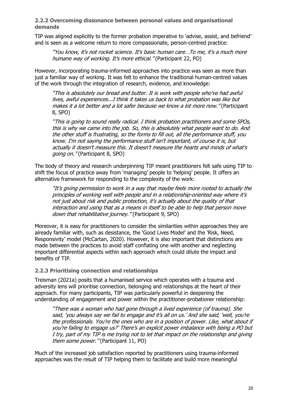**2.2.2 Overcoming dissonance between personal values and organisational demands**

TIP was aligned explicitly to the former probation imperative to 'advise, assist, and befriend' and is seen as a welcome return to more compassionate, person-centred practice:

"You know, it's not rocket science. It's basic human care…To me, it's a much more humane way of working. It's more ethical." (Participant 22, PO)

However, incorporating trauma-informed approaches into practice was seen as more than just a familiar way of working. It was felt to enhance the traditional human-centred values of the work through the integration of research, evidence, and knowledge:

"This is absolutely our bread and butter. It is work with people who've had awful lives, awful experiences...I think it takes us back to what probation was like but makes it a lot better and a lot safer because we know a lot more now." (Participant 8, SPO)

"This is going to sound really radical. I think probation practitioners and some SPOs, this is why we came into the job. So, this is absolutely what people want to do. And the other stuff is frustrating, so the forms to fill out, all the performance stuff, you know. I'm not saying the performance stuff isn't important, of course it is, but actually it doesn't measure this. It doesn't measure the hearts and minds of what's going on." (Participant 8, SPO)

The body of theory and research underpinning TIP meant practitioners felt safe using TIP to shift the focus of practice away from 'managing' people to 'helping' people. It offers an alternative framework for responding to the complexity of the work:

"It's giving permission to work in a way that maybe feels more rooted to actually the principles of working well with people and in a relationship-oriented way where it's not just about risk and public protection, it's actually about the quality of that interaction and using that as a means in itself to be able to help that person move down that rehabilitative journey." (Participant 9, SPO)

Moreover, it is easy for practitioners to consider the similarities within approaches they are already familiar with, such as desistance, the 'Good Lives Model' and the 'Risk, Need, Responsivity' model (McCartan, 2020). However, it is also important that distinctions are made between the practices to avoid staff conflating one with another and neglecting important differential aspects within each approach which could dilute the impact and benefits of TIP.

#### **2.2.3 Prioritising connection and relationships**

Treisman (2021a) posits that a humanised service which operates with a trauma and adversity lens will prioritise connection, belonging and relationships at the heart of their approach. For many participants, TIP was particularly powerful in deepening the understanding of engagement and power within the practitioner-probationer relationship:

"There was a woman who had gone through a lived experience (of trauma). She said, 'you always say we fail to engage and it's all on us.' And she said, 'well, you're the professionals. You're the ones who are in a position of power. Like, what about if you're failing to engage us?' There's an explicit power imbalance with being a PO but I try, part of my TIP is me trying not to let that impact on the relationship and giving them some power." (Participant 11, PO)

Much of the increased job satisfaction reported by practitioners using trauma-informed approaches was the result of TIP helping them to facilitate and build more meaningful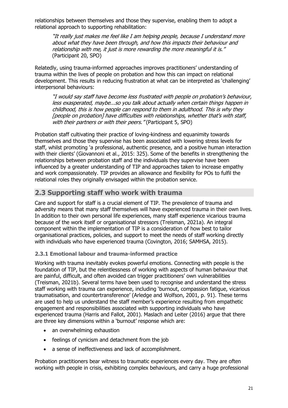relationships between themselves and those they supervise, enabling them to adopt a relational approach to supporting rehabilitation:

"It really just makes me feel like I am helping people, because I understand more about what they have been through, and how this impacts their behaviour and relationship with me, it just is more rewarding the more meaningful it is." (Participant 20, SPO)

Relatedly, using trauma-informed approaches improves practitioners' understanding of trauma within the lives of people on probation and how this can impact on relational development. This results in reducing frustration at what can be interpreted as 'challenging' interpersonal behaviours:

"I would say staff have become less frustrated with people on probation's behaviour, less exasperated, maybe...so you talk about actually when certain things happen in childhood, this is how people can respond to them in adulthood. This is why they [people on probation] have difficulties with relationships, whether that's with staff, with their partners or with their peers." (Participant 5, SPO)

Probation staff cultivating their practice of loving-kindness and equanimity towards themselves and those they supervise has been associated with lowering stress levels for staff, whilst promoting 'a professional, authentic presence, and a positive human interaction with their clients' (Giovannoni et al., 2015: 325). Some of the benefits in strengthening the relationships between probation staff and the individuals they supervise have been influenced by a greater understanding of TIP and approaches taken to increase empathy and work compassionately. TIP provides an allowance and flexibility for POs to fulfil the relational roles they originally envisaged within the probation service.

# <span id="page-20-0"></span>**2.3 Supporting staff who work with trauma**

Care and support for staff is a crucial element of TIP. The prevalence of trauma and adversity means that many staff themselves will have experienced trauma in their own lives. In addition to their own personal life experiences, many staff experience vicarious trauma because of the work itself or organisational stressors (Treisman, 2021a). An integral component within the implementation of TIP is a consideration of how best to tailor organisational practices, policies, and support to meet the needs of staff working directly with individuals who have experienced trauma (Covington, 2016; SAMHSA, 2015).

# **2.3.1 Emotional labour and trauma-informed practice**

Working with trauma inevitably evokes powerful emotions. Connecting with people is the foundation of TIP, but the relentlessness of working with aspects of human behaviour that are painful, difficult, and often avoided can trigger practitioners' own vulnerabilities (Treisman, 2021b). Several terms have been used to recognise and understand the stress staff working with trauma can experience, including 'burnout, compassion fatigue, vicarious traumatisation, and countertransference' (Arledge and Wolfson, 2001, p. 91). These terms are used to help us understand the staff member's experience resulting from empathetic engagement and responsibilities associated with supporting individuals who have experienced trauma (Harris and Fallot, 2001). Maslach and Leiter (2016) argue that there are three key dimensions within a 'burnout' response which are:

- an overwhelming exhaustion
- feelings of cynicism and detachment from the job
- a sense of ineffectiveness and lack of accomplishment.

Probation practitioners bear witness to traumatic experiences every day. They are often working with people in crisis, exhibiting complex behaviours, and carry a huge professional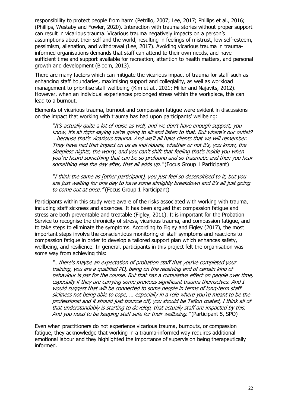responsibility to protect people from harm (Petrillo, 2007; Lee, 2017; Phillips et al., 2016; (Phillips, Westaby and Fowler, 2020). Interaction with trauma stories without proper support can result in vicarious trauma. Vicarious trauma negatively impacts on a person's assumptions about their self and the world, resulting in feelings of mistrust, low self-esteem, pessimism, alienation, and withdrawal (Lee, 2017). Avoiding vicarious trauma in traumainformed organisations demands that staff can attend to their own needs, and have sufficient time and support available for recreation, attention to health matters, and personal growth and development (Bloom, 2013).

There are many factors which can mitigate the vicarious impact of trauma for staff such as enhancing staff boundaries, maximising support and collegiality, as well as workload management to prioritise staff wellbeing (Kim et al., 2021; Miller and Najavits, 2012). However, when an individual experiences prolonged stress within the workplace, this can lead to a burnout.

Elements of vicarious trauma, burnout and compassion fatigue were evident in discussions on the impact that working with trauma has had upon participants' wellbeing:

"It's actually quite a lot of noise as well, and we don't have enough support, you know, it's all right saying we're going to sit and listen to that. But where's our outlet? …because that's vicarious trauma. And we'll all have clients that we will remember. They have had that impact on us as individuals, whether or not it's, you know, the sleepless nights, the worry, and you can't shift that feeling that's inside you when you've heard something that can be so profound and so traumatic and then you hear something else the day after, that all adds up." (Focus Group 1 Participant)

"I think the same as [other participant), you just feel so desensitised to it, but you are just waiting for one day to have some almighty breakdown and it's all just going to come out at once." (Focus Group 1 Participant)

Participants within this study were aware of the risks associated with working with trauma, including staff sickness and absences. It has been argued that compassion fatigue and stress are both preventable and treatable (Figley, 2011). It is important for the Probation Service to recognise the chronicity of stress, vicarious trauma, and compassion fatigue, and to take steps to eliminate the symptoms. According to Figley and Figley (2017), the most important steps involve the conscientious monitoring of staff symptoms and reactions to compassion fatigue in order to develop a tailored support plan which enhances safety, wellbeing, and resilience. In general, participants in this project felt the organisation was some way from achieving this:

"…there's maybe an expectation of probation staff that you've completed your training, you are a qualified PO, being on the receiving end of certain kind of behaviour is par for the course. But that has a cumulative effect on people over time, especially if they are carrying some previous significant trauma themselves. And I would suggest that will be connected to some people in terms of long-term staff sickness not being able to cope, … especially in a role where you're meant to be the professional and it should just bounce off, you should be Teflon coated, I think all of that understandably is starting to develop, that actually staff are impacted by this. And you need to be keeping staff safe for their wellbeing." (Participant 5, SPO)

Even when practitioners do not experience vicarious trauma, burnouts, or compassion fatigue, they acknowledge that working in a trauma-informed way requires additional emotional labour and they highlighted the importance of supervision being therapeutically informed.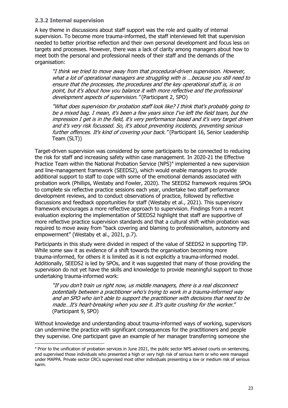#### **2.3.2 Internal supervision**

A key theme in discussions about staff support was the role and quality of internal supervision. To become more trauma-informed, the staff interviewed felt that supervision needed to better prioritise reflection and their own personal development and focus less on targets and processes. However, there was a lack of clarity among managers about how to meet both the personal and professional needs of their staff and the demands of the organisation:

"I think we tried to move away from that procedural-driven supervision. However, what a lot of operational managers are struggling with is …because you still need to ensure that the processes, the procedures and the key operational stuff is, is on point, but it's about how you balance it with more reflective and the professional development aspects of supervision." (Participant 2, SPO)

"What does supervision for probation staff look like? I think that's probably going to be a mixed bag. I mean, it's been a few years since I've left the field team, but the impression I get is in the field, it's very performance based and it's very target driven and it's very risk focussed. So, it's about preventing incidents, preventing serious further offences. It's kind of covering your back." (Participant 16, Senior Leadership Team (SLT))

Target-driven supervision was considered by some participants to be connected to reducing the risk for staff and increasing safety within case management. In 2020-21 the Effective Practice Team within the National Probation Service (NPS)<sup>[4](#page-22-0)</sup> implemented a new supervision and line-management framework (SEEDS2), which would enable managers to provide additional support to staff to cope with some of the emotional demands associated with probation work (Phillips, Westaby and Fowler, 2020). The SEEDS2 framework requires SPOs to complete six reflective practice sessions each year, undertake two staff performance development reviews, and to conduct observations of practice, followed by reflective discussions and feedback opportunities for staff (Westaby et al., 2021). This supervisory framework encourages a more reflective approach to supervision. Findings from a recent evaluation exploring the implementation of SEEDS2 highlight that staff are supportive of more reflective practice supervision standards and that a cultural shift within probation was required to move away from "back covering and blaming to professionalism, autonomy and empowerment" (Westaby et al., 2021, p.7).

Participants in this study were divided in respect of the value of SEEDS2 in supporting TIP. While some saw it as evidence of a shift towards the organisation becoming more trauma-informed, for others it is limited as it is not explicitly a trauma-informed model. Additionally, SEEDS2 is led by SPOs, and it was suggested that many of those providing the supervision do not yet have the skills and knowledge to provide meaningful support to those undertaking trauma-informed work:

"If you don't train us right now, us middle managers, there is a real disconnect potentially between a practitioner who's trying to work in a trauma-informed way and an SPO who isn't able to support the practitioner with decisions that need to be made…It's heart-breaking when you see it. It's quite crushing for the worker." (Participant 9, SPO)

Without knowledge and understanding about trauma-informed ways of working, supervisors can undermine the practice with significant consequences for the practitioners and people they supervise. One participant gave an example of her manager transferring someone she

<span id="page-22-0"></span><sup>4</sup> Prior to the unification of probation services in June 2021, the public sector NPS advised courts on sentencing, and supervised those individuals who presented a high or very high risk of serious harm or who were managed under MAPPA. Private sector CRCs supervised most other individuals presenting a low or medium risk of serious harm.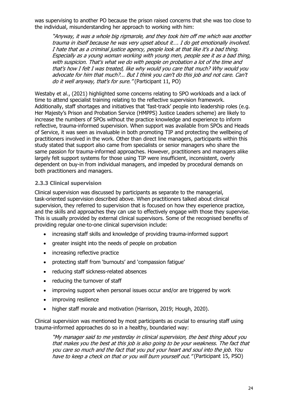was supervising to another PO because the prison raised concerns that she was too close to the individual, misunderstanding her approach to working with him:

"Anyway, it was a whole big rigmarole, and they took him off me which was another trauma in itself because he was very upset about it…. I do get emotionally involved. I hate that as a criminal justice agency, people look at that like it's a bad thing. Especially as a young woman working with young men, people see it as a bad thing, with suspicion. That's what we do with people on probation a lot of the time and that's how I felt I was treated, like why would you care that much? Why would you advocate for him that much?... But I think you can't do this job and not care. Can't do it well anyway, that's for sure." (Participant 11, PO)

Westaby et al., (2021) highlighted some concerns relating to SPO workloads and a lack of time to attend specialist training relating to the reflective supervision framework. Additionally, staff shortages and initiatives that 'fast-track' people into leadership roles (e.g. Her Majesty's Prison and Probation Service (HMPPS) Justice Leaders scheme) are likely to increase the numbers of SPOs without the practice knowledge and experience to inform reflective, trauma-informed supervision. When support was available from SPOs and Heads of Service, it was seen as invaluable in both promoting TIP and protecting the wellbeing of practitioners involved in the work. Other than direct line managers, participants within this study stated that support also came from specialists or senior managers who share the same passion for trauma-informed approaches. However, practitioners and managers alike largely felt support systems for those using TIP were insufficient, inconsistent, overly dependent on buy-in from individual managers, and impeded by procedural demands on both practitioners and managers.

#### **2.3.3 Clinical supervision**

Clinical supervision was discussed by participants as separate to the managerial, task-oriented supervision described above. When practitioners talked about clinical supervision, they referred to supervision that is focused on how they experience practice, and the skills and approaches they can use to effectively engage with those they supervise. This is usually provided by external clinical supervisors. Some of the recognised benefits of providing regular one-to-one clinical supervision include:

- increasing staff skills and knowledge of providing trauma-informed support
- greater insight into the needs of people on probation
- increasing reflective practice
- protecting staff from 'burnouts' and 'compassion fatigue'
- reducing staff sickness-related absences
- reducing the turnover of staff
- improving support when personal issues occur and/or are triggered by work
- improving resilience
- higher staff morale and motivation (Harrison, 2019; Hough, 2020).

Clinical supervision was mentioned by most participants as crucial to ensuring staff using trauma-informed approaches do so in a healthy, boundaried way:

"My manager said to me yesterday in clinical supervision, the best thing about you that makes you the best at this job is also going to be your weakness. The fact that you care so much and the fact that you put your heart and soul into the job. You have to keep a check on that or you will burn yourself out." (Participant 15, PSO)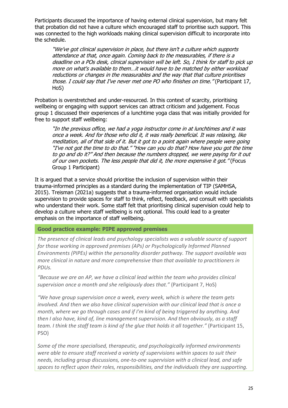Participants discussed the importance of having external clinical supervision, but many felt that probation did not have a culture which encouraged staff to prioritise such support. This was connected to the high workloads making clinical supervision difficult to incorporate into the schedule.

"We've got clinical supervision in place, but there isn't a culture which supports attendance at that, once again. Coming back to the measurables, if there is a deadline on a POs desk, clinical supervision will be left. So, I think for staff to pick up more on what's available to them…it would have to be matched by either workload reductions or changes in the measurables and the way that that culture prioritises those. I could say that I've never met one PO who finishes on time." (Participant 17, HoS)

Probation is overstretched and under-resourced. In this context of scarcity, prioritising wellbeing or engaging with support services can attract criticism and judgement. Focus group 1 discussed their experiences of a lunchtime yoga class that was initially provided for free to support staff wellbeing:

"In the previous office, we had a yoga instructor come in at lunchtimes and it was once a week. And for those who did it, it was really beneficial. It was relaxing, like meditation, all of that side of it. But it got to a point again where people were going "I've not got the time to do that." "How can you do that? How have you got the time to go and do it?" And then because the numbers dropped, we were paying for it out of our own pockets. The less people that did it, the more expensive it got." (Focus Group 1 Participant)

It is argued that a service should prioritise the inclusion of supervision within their trauma-informed principles as a standard during the implementation of TIP (SAMHSA, 2015). Treisman (2021a) suggests that a trauma-informed organisation would include supervision to provide spaces for staff to think, reflect, feedback, and consult with specialists who understand their work. Some staff felt that prioritising clinical supervision could help to develop a culture where staff wellbeing is not optional. This could lead to a greater emphasis on the importance of staff wellbeing.

#### **Good practice example: PIPE approved premises**

*The presence of clinical leads and psychology specialists was a valuable source of support for those working in approved premises (APs) or Psychologically Informed Planned Environments (PIPEs) within the personality disorder pathway. The support available was more clinical in nature and more comprehensive than that available to practitioners in PDUs.* 

*"Because we are an AP, we have a clinical lead within the team who provides clinical supervision once a month and she religiously does that."* (Participant 7, HoS)

*"We have group supervision once a week, every week, which is where the team gets involved. And then we also have clinical supervision with our clinical lead that is once a month, where we go through cases and if I'm kind of being triggered by anything. And then I also have, kind of, line management supervision. And then obviously, as a staff team. I think the staff team is kind of the glue that holds it all together."* (Participant 15, PSO)

*Some of the more specialised, therapeutic, and psychologically informed environments were able to ensure staff received a variety of supervisions within spaces to suit their needs, including group discussions, one-to-one supervision with a clinical lead, and safe spaces to reflect upon their roles, responsibilities, and the individuals they are supporting.*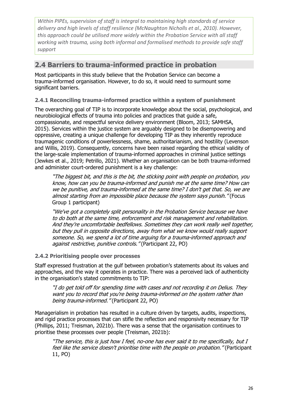*Within PIPEs, supervision of staff is integral to maintaining high standards of service delivery and high levels of staff resilience (McNaughton Nicholls et al., 2010). However, this approach could be utilised more widely within the Probation Service with all staff working with trauma, using both informal and formalised methods to provide safe staff support*

# <span id="page-25-0"></span>**2.4 Barriers to trauma-informed practice in probation**

Most participants in this study believe that the Probation Service can become a trauma-informed organisation. However, to do so, it would need to surmount some significant barriers.

**2.4.1 Reconciling trauma-informed practice within a system of punishment**

The overarching goal of TIP is to incorporate knowledge about the social, psychological, and neurobiological effects of trauma into policies and practices that guide a safe, compassionate, and respectful service delivery environment (Bloom, 2013; SAMHSA, 2015). Services within the justice system are arguably designed to be disempowering and oppressive, creating a unique challenge for developing TIP as they inherently reproduce traumagenic conditions of powerlessness, shame, authoritarianism, and hostility (Levenson and Willis, 2019). Consequently, concerns have been raised regarding the ethical validity of the large-scale implementation of trauma-informed approaches in criminal justice settings (Jewkes et al., 2019; Petrillo, 2021). Whether an organisation can be both trauma-informed and administer court-ordered punishment is a key challenge:

"The biggest bit, and this is the bit, the sticking point with people on probation, you know, how can you be trauma-informed and punish me at the same time? How can we be punitive, and trauma-informed at the same time? I don't get that. So, we are almost starting from an impossible place because the system says punish." (Focus Group 1 participant)

"We've got a completely split personality in the Probation Service because we have to do both at the same time, enforcement and risk management and rehabilitation. And they're uncomfortable bedfellows. Sometimes they can work really well together, but they pull in opposite directions, away from what we know would really support someone. So, we spend a lot of time arguing for a trauma-informed approach and against restrictive, punitive controls." (Participant 22, PO)

# **2.4.2 Prioritising people over processes**

Staff expressed frustration at the gulf between probation's statements about its values and approaches, and the way it operates in practice. There was a perceived lack of authenticity in the organisation's stated commitments to TIP:

"I do get told off for spending time with cases and not recording it on Delius. They want you to record that you're being trauma-informed on the system rather than being trauma-informed." (Participant 22, PO)

Managerialism in probation has resulted in a culture driven by targets, audits, inspections, and rigid practice processes that can stifle the reflection and responsivity necessary for TIP (Phillips, 2011; Treisman, 2021b). There was a sense that the organisation continues to prioritise these processes over people (Treisman, 2021b):

"The service, this is just how I feel, no-one has ever said it to me specifically, but I feel like the service doesn't prioritise time with the people on probation." (Participant 11, PO)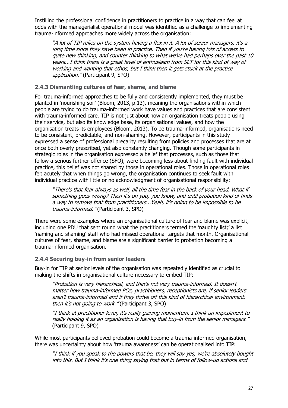Instilling the professional confidence in practitioners to practice in a way that can feel at odds with the managerialist operational model was identified as a challenge to implementing trauma-informed approaches more widely across the organisation:

"A lot of TIP relies on the system having a flex in it. A lot of senior managers, it's a long time since they have been in practice. Then if you're having lots of access to quite new thinking, and counter thinking to what we've had perhaps over the past 10 years...I think there is a great level of enthusiasm from SLT for this kind of way of working and wanting that ethos, but I think then it gets stuck at the practice application." (Participant 9, SPO)

#### **2.4.3 Dismantling cultures of fear, shame, and blame**

For trauma-informed approaches to be fully and consistently implemented, they must be planted in 'nourishing soil' (Bloom, 2013, p.13), meaning the organisations within which people are trying to do trauma-informed work have values and practices that are consistent with trauma-informed care. TIP is not just about how an organisation treats people using their service, but also its knowledge base, its organisational values, and how the organisation treats its employees (Bloom, 2013). To be trauma-informed, organisations need to be consistent, predictable, and non-shaming. However, participants in this study expressed a sense of professional precarity resulting from policies and processes that are at once both overly prescribed, yet also constantly changing. Though some participants in strategic roles in the organisation expressed a belief that processes, such as those that follow a serious further offence (SFO), were becoming less about finding fault with individual practice, this belief was not shared by those in operational roles. Those in operational roles felt acutely that when things go wrong, the organisation continues to seek fault with individual practice with little or no acknowledgment of organisational responsibility:

"There's that fear always as well, all the time fear in the back of your head. What if something goes wrong? Then it's on you, you know, and until probation kind of finds a way to remove that from practitioners...Yeah, it's going to be impossible to be trauma-informed." (Participant 3, SPO)

There were some examples where an organisational culture of fear and blame was explicit, including one PDU that sent round what the practitioners termed the 'naughty list;' a list 'naming and shaming' staff who had missed operational targets that month. Organisational cultures of fear, shame, and blame are a significant barrier to probation becoming a trauma-informed organisation.

#### **2.4.4 Securing buy-in from senior leaders**

Buy-in for TIP at senior levels of the organisation was repeatedly identified as crucial to making the shifts in organisational culture necessary to embed TIP:

"Probation is very hierarchical, and that's not very trauma-informed. It doesn't matter how trauma-informed POs, practitioners, receptionists are, if senior leaders aren't trauma-informed and if they thrive off this kind of hierarchical environment, then it's not going to work." (Participant 3, SPO)

"I think at practitioner level, it's really gaining momentum. I think an impediment to really holding it as an organisation is having that buy-in from the senior managers." (Participant 9, SPO)

While most participants believed probation could become a trauma-informed organisation, there was uncertainty about how 'trauma awareness' can be operationalised into TIP:

"I think if you speak to the powers that be, they will say yes, we're absolutely bought into this. But I think it's one thing saying that but in terms of follow-up actions and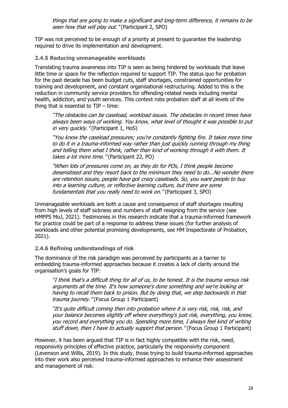things that are going to make a significant and long-term difference, it remains to be seen how that will play out. "(Participant 2, SPO)

TIP was not perceived to be enough of a priority at present to guarantee the leadership required to drive its implementation and development.

#### **2.4.5 Reducing unmanageable workloads**

Translating trauma awareness into TIP is seen as being hindered by workloads that leave little time or space for the reflection required to support TIP. The status quo for probation for the past decade has been budget cuts, staff shortages, constrained opportunities for training and development, and constant organisational restructuring. Added to this is the reduction in community service providers for offending-related needs including mental health, addiction, and youth services. This context robs probation staff at all levels of the thing that is essential to  $TIP - time$ :

"The obstacles can be caseload, workload issues. The obstacles in recent times have always been ways of working. You know, what level of thought it was possible to put in very quickly." (Participant 1, HoS)

"You know the caseload pressures; you're constantly fighting fire. It takes more time to do it in a trauma-informed way rather than just quickly running through my thing and telling them what I think, rather than kind of working through it with them. It takes a lot more time." (Participant 22, PO)

"When lots of pressures come on, as they do for POs, I think people become desensitised and they resort back to the minimum they need to do...No wonder there are retention issues, people have got crazy caseloads. So, you want people to buy into a learning culture, or reflective learning culture, but there are some fundamentals that you really need to work on." (Participant 3, SPO)

Unmanageable workloads are both a cause and consequence of staff shortages resulting from high levels of staff sickness and numbers of staff resigning from the service (see HMPPS MoJ, 2021). Testimonies in this research indicate that a trauma-informed framework for practice could be part of a response to address these issues (for further analysis of workloads and other potential promising developments, see HM Inspectorate of Probation, 2021).

#### **2.4.6 Refining understandings of risk**

The dominance of the risk paradigm was perceived by participants as a barrier to embedding trauma-informed approaches because it creates a lack of clarity around the organisation's goals for TIP:

"I think that's a difficult thing for all of us, to be honest. It is the trauma versus risk arguments all the time. It's how someone's done something and we're looking at having to recall them back to prison. But by doing that, we step backwards in that trauma journey." (Focus Group 1 Participant)

"It's quite difficult coming then into probation where it is very risk, risk, risk, and your balance becomes slightly off where everything's just risk, everything, you know, you record and everything you do. Spending more time, I always feel kind of writing stuff down, then I have to actually support that person." (Focus Group 1 Participant)

However, it has been argued that TIP is in fact highly compatible with the risk, need, responsivity principles of effective practice, particularly the responsivity component (Levenson and Willis, 2019). In this study, those trying to build trauma-informed approaches into their work also perceived trauma-informed approaches to enhance their assessment and management of risk: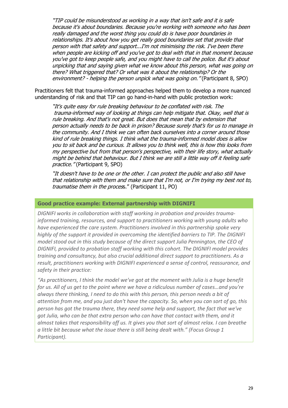"TIP could be misunderstood as working in a way that isn't safe and it is safe because it's about boundaries. Because you're working with someone who has been really damaged and the worst thing you could do is have poor boundaries in relationships. It's about how you get really good boundaries set that provide that person with that safety and support...I'm not minimising the risk. I've been there when people are kicking off and you've got to deal with that in that moment because you've got to keep people safe, and you might have to call the police. But it's about unpicking that and saying given what we know about this person, what was going on there? What triggered that? Or what was it about the relationship? Or the environment? - helping the person unpick what was going on." (Participant 8, SPO)

Practitioners felt that trauma-informed approaches helped them to develop a more nuanced understanding of risk and that TIP can go hand-in-hand with public protection work:

"It's quite easy for rule breaking behaviour to be conflated with risk. The trauma-informed way of looking at things can help mitigate that. Okay, well that is rule breaking. And that's not great. But does that mean that by extension that person actually needs to be back in prison? Because surely that's for us to manage in the community. And I think we can often back ourselves into a corner around those kind of rule breaking things. I think what the trauma-informed model does is allow you to sit back and be curious. It allows you to think well, this is how this looks from my perspective but from that person's perspective, with their life story, what actually might be behind that behaviour. But I think we are still a little way off it feeling safe practice." (Participant 9, SPO)

"It doesn't have to be one or the other. I can protect the public and also still have that relationship with them and make sure that I'm not, or I'm trying my best not to, traumatise them in the process." (Participant 11, PO)

#### **Good practice example: External partnership with DIGNIFI**

*DIGNIFI works in collaboration with staff working in probation and provides traumainformed training, resources, and support to practitioners working with young adults who have experienced the care system. Practitioners involved in this partnership spoke very highly of the support it provided in overcoming the identified barriers to TIP. The DIGNIFI model stood out in this study because of the direct support Julia Pennington, the CEO of DIGNIFI, provided to probation staff working with this cohort. The DIGNIFI model provides training and consultancy, but also crucial additional direct support to practitioners. As a result, practitioners working with DIGNIFI experienced a sense of control, reassurance, and safety in their practice:* 

*"As practitioners, I think the model we've got at the moment with Julia is a huge benefit for us. All of us get to the point where we have a ridiculous number of cases…and you're always there thinking, I need to do this with this person, this person needs a bit of attention from me, and you just don't have the capacity. So, when you can sort of go, this person has got the trauma there, they need some help and support, the fact that we've got Julia, who can be that extra person who can have that contact with them, and it almost takes that responsibility off us. It gives you that sort of almost relax. I can breathe a little bit because what the issue there is still being dealt with." (Focus Group 1 Participant).*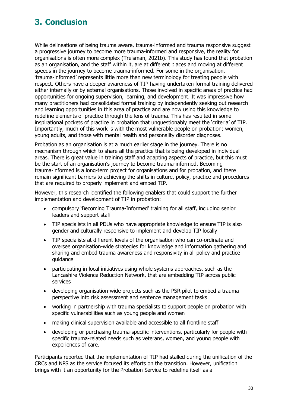# <span id="page-29-0"></span>**3. Conclusion**

While delineations of being trauma aware, trauma-informed and trauma responsive suggest a progressive journey to become more trauma-informed and responsive, the reality for organisations is often more complex (Treisman, 2021b). This study has found that probation as an organisation, and the staff within it, are at different places and moving at different speeds in the journey to become trauma-informed. For some in the organisation, 'trauma-informed' represents little more than new terminology for treating people with respect. Others have a deeper awareness of TIP having undertaken formal training delivered either internally or by external organisations. Those involved in specific areas of practice had opportunities for ongoing supervision, learning, and development. It was impressive how many practitioners had consolidated formal training by independently seeking out research and learning opportunities in this area of practice and are now using this knowledge to redefine elements of practice through the lens of trauma. This has resulted in some inspirational pockets of practice in probation that unquestionably meet the 'criteria' of TIP. Importantly, much of this work is with the most vulnerable people on probation; women, young adults, and those with mental health and personality disorder diagnoses.

Probation as an organisation is at a much earlier stage in the journey. There is no mechanism through which to share all the practice that is being developed in individual areas. There is great value in training staff and adapting aspects of practice, but this must be the start of an organisation's journey to become trauma-informed. Becoming trauma-informed is a long-term project for organisations and for probation, and there remain significant barriers to achieving the shifts in culture, policy, practice and procedures that are required to properly implement and embed TIP.

However, this research identified the following enablers that could support the further implementation and development of TIP in probation:

- compulsory 'Becoming Trauma-Informed' training for all staff, including senior leaders and support staff
- TIP specialists in all PDUs who have appropriate knowledge to ensure TIP is also gender and culturally responsive to implement and develop TIP locally
- TIP specialists at different levels of the organisation who can co-ordinate and oversee organisation-wide strategies for knowledge and information gathering and sharing and embed trauma awareness and responsivity in all policy and practice guidance
- participating in local initiatives using whole systems approaches, such as the Lancashire Violence Reduction Network, that are embedding TIP across public services
- developing organisation-wide projects such as the PSR pilot to embed a trauma perspective into risk assessment and sentence management tasks
- working in partnership with trauma specialists to support people on probation with specific vulnerabilities such as young people and women
- making clinical supervision available and accessible to all frontline staff
- developing or purchasing trauma-specific interventions, particularly for people with specific trauma-related needs such as veterans, women, and young people with experiences of care.

Participants reported that the implementation of TIP had stalled during the unification of the CRCs and NPS as the service focused its efforts on the transition. However, unification brings with it an opportunity for the Probation Service to redefine itself as a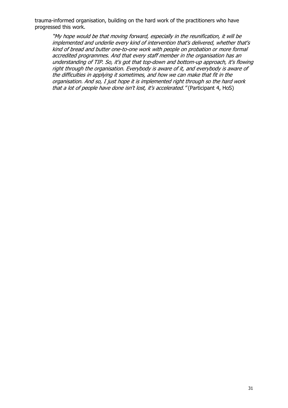trauma-informed organisation, building on the hard work of the practitioners who have progressed this work.

"My hope would be that moving forward, especially in the reunification, it will be implemented and underlie every kind of intervention that's delivered, whether that's kind of bread and butter one-to-one work with people on probation or more formal accredited programmes. And that every staff member in the organisation has an understanding of TIP. So, it's got that top-down and bottom-up approach, it's flowing right through the organisation. Everybody is aware of it, and everybody is aware of the difficulties in applying it sometimes, and how we can make that fit in the organisation. And so, I just hope it is implemented right through so the hard work that a lot of people have done isn't lost, it's accelerated." (Participant 4, HoS)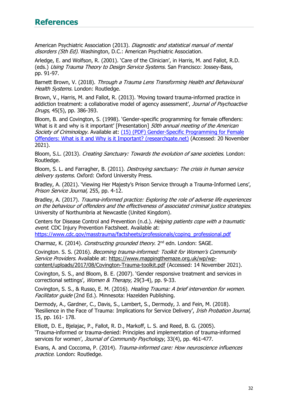<span id="page-31-0"></span>American Psychiatric Association (2013). Diagnostic and statistical manual of mental disorders (5th Ed). Washington, D.C.: American Psychiatric Association.

Arledge, E. and Wolfson, R. (2001). 'Care of the Clinician', in Harris, M. and Fallot, R.D. (eds.) Using Trauma Theory to Design Service Systems. San Francisco: Jossey-Bass, pp. 91-97.

Barnett Brown, V. (2018). Through a Trauma Lens Transforming Health and Behavioural Health Systems. London: Routledge.

Brown, V., Harris, M. and Fallot, R. (2013). 'Moving toward trauma-informed practice in addiction treatment: a collaborative model of agency assessment', Journal of Psychoactive Drugs, 45(5), pp. 386-393.

Bloom, B. and Covington, S. (1998). 'Gender-specific programming for female offenders: What is it and why is it important' [Presentation] 50th annual meeting of the American Society of Criminology. Available at: (15) (PDF) Gender-Specific Programming for Female [Offenders: What is it and Why is it Important? \(researchgate.net\)](https://www.researchgate.net/publication/268258804_Gender-Specific_Programming_for_Female_Offenders_What_is_it_and_Why_is_it_Important#fullTextFileContent) (Accessed: 20 November 2021).

Bloom, S.L. (2013). Creating Sanctuary: Towards the evolution of sane societies. London: Routledge.

Bloom, S. L. and Farragher, B. (2011). *Destroying sanctuary: The crisis in human service* delivery systems. Oxford: Oxford University Press.

Bradley, A. (2021). 'Viewing Her Majesty's Prison Service through a Trauma-Informed Lens', Prison Service Journal, 255, pp. 4-12.

Bradley, A. (2017). Trauma-informed practice: Exploring the role of adverse life experiences on the behaviour of offenders and the effectiveness of associated criminal justice strategies. University of Northumbria at Newcastle (United Kingdom).

Centers for Disease Control and Prevention (n.d.). Helping patients cope with a traumatic event. CDC Injury Prevention Factsheet. Available at:

[https://www.cdc.gov/masstrauma/factsheets/professionals/coping\\_professional.pdf](https://www.cdc.gov/masstrauma/factsheets/professionals/coping_professional.pdf)

Charmaz, K. (2014). Constructing grounded theory. 2nd edn. London: SAGE.

Covington. S. S. (2016). Becoming trauma-informed: Toolkit for Women's Community Service Providers. Available at: [https://www.mappingthemaze.org.uk/wp/wp](https://www.mappingthemaze.org.uk/wp/wp-content/uploads/2017/08/Covington-Trauma-toolkit.pdf)[content/uploads/2017/08/Covington-Trauma-toolkit.pdf](https://www.mappingthemaze.org.uk/wp/wp-content/uploads/2017/08/Covington-Trauma-toolkit.pdf) (Accessed: 14 November 2021).

Covington, S. S., and Bloom, B. E. (2007). 'Gender responsive treatment and services in correctional settings', Women & Therapy, 29(3-4), pp. 9-33.

Covington, S. S., & Russo, E. M. (2016). Healing Trauma: A brief intervention for women. Facilitator quide (2nd Ed.). Minnesota: Hazelden Publishing.

Dermody, A., Gardner, C., Davis, S., Lambert, S., Dermody, J. and Fein, M. (2018). 'Resilience in the Face of Trauma: Implications for Service Delivery', Irish Probation Journal, 15, pp. 161- 178.

Elliott, D. E., Bjelajac, P., Fallot, R. D., Markoff, L. S. and Reed, B. G. (2005). 'Trauma‐informed or trauma‐denied: Principles and implementation of trauma‐informed services for women', Journal of Community Psychology, 33(4), pp. 461-477.

Evans, A. and Coccoma, P. (2014). Trauma-informed care: How neuroscience influences practice. London: Routledge.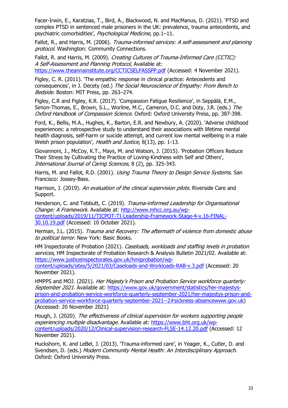Facer-Irwin, E., Karatzias, T., Bird, A., Blackwood, N. and MacManus, D. (2021). 'PTSD and complex PTSD in sentenced male prisoners in the UK: prevalence, trauma antecedents, and psychiatric comorbidities', Psychological Medicine, pp.1–11.

Fallot, R., and Harris, M. (2006). Trauma-informed services: A self-assessment and planning protocol. Washington: Community Connections.

Fallot, R. and Harris, M. (2009). Creating Cultures of Trauma-Informed Care [\(](https://www.theannainstitute.org/CCTICSELFASSPP.pdf)CCTIC[\)](https://www.theannainstitute.org/CCTICSELFASSPP.pdf): A Self-Assessment and Planning Protocol, Available at: <https://www.theannainstitute.org/CCTICSELFASSPP.pdf> (Accessed: 4 November 2021).

Figley, C. R. (2011). 'The empathic response in clinical practice: Antecedents and consequences', in J. Decety (ed.) The Social Neuroscience of Empathy: From Bench to Bedside. Boston: MIT Press, pp. 263–274.

Figley, C.R and Figley, K.R. (2017). 'Compassion Fatigue Resilience', in Seppälä, E.M., Simon-Thomas, E., Brown, S.L., Worline, M.C., Cameron, D.C. and Doty, J.R. (eds.) The Oxford Handbook of Compassion Science. Oxford: Oxford University Press, pp. 387-398.

Ford, K., Bellis, M.A., Hughes, K., Barton, E.R. and Newbury, A. (2020). 'Adverse childhood experiences: a retrospective study to understand their associations with lifetime mental health diagnosis, self-harm or suicide attempt, and current low mental wellbeing in a male Welsh prison population', Health and Justice, 8(13), pp. 1-13.

Giovannoni, J., McCoy, K.T., Mays, M. and Watson, J. (2015). 'Probation Officers Reduce Their Stress by Cultivating the Practice of Loving-Kindness with Self and Others', International Journal of Caring Sciences, 8 (2), pp. 325-343.

Harris, M. and Fallot, R.D. (2001). Using Trauma Theory to Design Service Systems. San Francisco: Jossey-Bass.

Harrison, J. (2019). An evaluation of the clinical supervision pilots. Riverside Care and Support.

Henderson, C. and Tebbutt, C. (2019). Trauma-informed Leadership for Organisational Change: A Framework. Available at: [http://www.mhcc.org.au/wp](http://www.mhcc.org.au/wp-content/uploads/2019/11/TICPOT-TI-Leadership-Framework-Stage-4-v.16-FINAL-30.10.19.pdf)[content/uploads/2019/11/TICPOT-TI-Leadership-Framework-Stage-4-v.16-FINAL-](http://www.mhcc.org.au/wp-content/uploads/2019/11/TICPOT-TI-Leadership-Framework-Stage-4-v.16-FINAL-30.10.19.pdf)[30.10.19.pdf](http://www.mhcc.org.au/wp-content/uploads/2019/11/TICPOT-TI-Leadership-Framework-Stage-4-v.16-FINAL-30.10.19.pdf) (Accessed: 10 October 2021).

Herman, J.L. (2015). Trauma and Recovery: The aftermath of violence from domestic abuse to political terror. New York: Basic Books.

HM Inspectorate of Probation (2021). Caseloads, workloads and staffing levels in probation services, HM Inspectorate of Probation Research & Analysis Bulletin 2021/02. Available at: [https://www.justiceinspectorates.gov.uk/hmiprobation/wp](https://www.justiceinspectorates.gov.uk/hmiprobation/wp-content/uploads/sites/5/2021/03/Caseloads-and-Workloads-RAB-v.3.pdf)[content/uploads/sites/5/2021/03/Caseloads-and-Workloads-RAB-v.3.pdf](https://www.justiceinspectorates.gov.uk/hmiprobation/wp-content/uploads/sites/5/2021/03/Caseloads-and-Workloads-RAB-v.3.pdf) (Accessed: 20 November 2021).

HMPPS and MOJ. (2021). Her Majesty's Prison and Probation Service workforce quarterly: September 2021. Available at: [https://www.gov.uk/government/statistics/her-majestys](https://www.gov.uk/government/statistics/her-majestys-prison-and-probation-service-workforce-quarterly-september-2021/her-majestys-prison-and-probation-service-workforce-quarterly-september-2021--2#sickness-absencewww.gov.uk)[prison-and-probation-service-workforce-quarterly-september-2021/her-majestys-prison-and](https://www.gov.uk/government/statistics/her-majestys-prison-and-probation-service-workforce-quarterly-september-2021/her-majestys-prison-and-probation-service-workforce-quarterly-september-2021--2#sickness-absencewww.gov.uk)[probation-service-workforce-quarterly-september-2021--2#sickness-absencewww.gov.uk\)](https://www.gov.uk/government/statistics/her-majestys-prison-and-probation-service-workforce-quarterly-september-2021/her-majestys-prison-and-probation-service-workforce-quarterly-september-2021--2#sickness-absencewww.gov.uk) (Accessed: 20 November 2021)

Hough, J. (2020). The effectiveness of clinical supervision for workers supporting people experiencing multiple disadvantage. Available at: [https://www.bht.org.uk/wp](https://www.bht.org.uk/wp-content/uploads/2020/12/Clinical-supervision-research-FLSE-14.12.20.pdf)[content/uploads/2020/12/Clinical-supervision-research-FLSE-14.12.20.pdf](https://www.bht.org.uk/wp-content/uploads/2020/12/Clinical-supervision-research-FLSE-14.12.20.pdf) (Accessed: 12 November 2021).

Huckshorn, K. and LeBel, J. (2013). 'Trauma-informed care', in Yeager, K., Cutler, D. and Svendsen, D. (eds.) Modern Community Mental Health: An Interdisciplinary Approach. Oxford: Oxford University Press.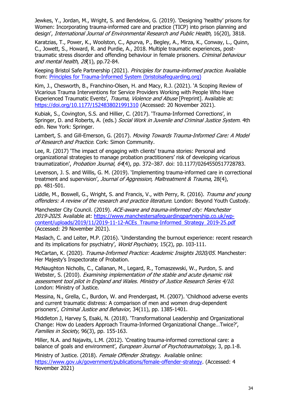Jewkes, Y., Jordan, M., Wright, S. and Bendelow, G. (2019). 'Designing 'healthy' prisons for Women: Incorporating trauma-informed care and practice (TICP) into prison planning and design', International Journal of Environmental Research and Public Health, 16(20), 3818.

Karatzias, T., Power, K., Woolston, C., Apurva, P., Begley, A., Mirza, K., Conway, L., Quinn, C., Jowett, S., Howard, R. and Purdie, A., 2018. Multiple traumatic experiences, post‐ traumatic stress disorder and offending behaviour in female prisoners. Criminal behaviour and mental health, 28(1), pp.72-84.

Keeping Bristol Safe Partnership (2021). *Principles for trauma-informed practice*. Available from: [Principles for Trauma-Informed System \(bristolsafeguarding.org\)](https://bristolsafeguarding.org/media/rmlbpe2u/bnssg-principles-for-trauma-informed-practice-march-2021-web-version.pdf)

Kim, J., Chesworth, B., Franchino-Olsen, H. and Macy, R.J. (2021). 'A Scoping Review of Vicarious Trauma Interventions for Service Providers Working with People Who Have Experienced Traumatic Events', Trauma, Violence and Abuse [Preprint]. Available at: <https://doi.org/10.1177/1524838021991310> (Accessed: 20 November 2021).

Kubiak, S., Covington, S.S. and Hillier, C. (2017). 'Trauma-Informed Corrections', in Springer, D. and Roberts, A. (eds.) Social Work in Juvenile and Criminal Justice System. 4th edn. New York: Springer.

Lambert, S. and Gill-Emerson, G. (2017). Moving Towards Trauma-Informed Care: A Model of Research and Practice. Cork: Simon Community.

Lee, R. (2017) 'The impact of engaging with clients' trauma stories: Personal and organizational strategies to manage probation practitioners' risk of developing vicarious traumatization', Probation Journal, 64(4), pp. 372-387. doi: 10.1177/0264550517728783.

Levenson, J. S. and Willis, G. M. (2019). 'Implementing trauma-informed care in correctional treatment and supervision', Journal of Aggression, Maltreatment & Trauma, 28(4). pp. 481-501.

Liddle, M., Boswell, G., Wright, S. and Francis, V., with Perry, R. (2016). *Trauma and young* offenders: A review of the research and practice literature. London: Beyond Youth Custody.

Manchester City Council. (2019). ACE-aware and trauma-informed city: Manchester 2019-2025. Available at: [https://www.manchestersafeguardingpartnership.co.uk/wp](https://www.manchestersafeguardingpartnership.co.uk/wp-content/uploads/2019/11/2019-11-12-ACEs_Trauma-Informed_Strategy_2019-25.pdf)[content/uploads/2019/11/2019-11-12-ACEs\\_Trauma-Informed\\_Strategy\\_2019-25.pdf](https://www.manchestersafeguardingpartnership.co.uk/wp-content/uploads/2019/11/2019-11-12-ACEs_Trauma-Informed_Strategy_2019-25.pdf) (Accessed: 29 November 2021).

Maslach, C. and Leiter, M.P. (2016). 'Understanding the burnout experience: recent research and its implications for psychiatry', World Psychiatry, 15(2), pp. 103-111.

McCartan, K. (2020). Trauma-Informed Practice: Academic Insights 2020/05. Manchester: Her Majesty's Inspectorate of Probation.

McNaughton Nicholls, C., Callanan, M., Legard, R., Tomaszewski, W., Purdon, S. and Webster, S. (2010). *Examining implementation of the stable and acute dynamic risk* assessment tool pilot in England and Wales. Ministry of Justice Research Series 4/10. London: Ministry of Justice.

Messina, N., Grella, C., Burdon, W. and Prendergast, M. (2007). 'Childhood adverse events and current traumatic distress: A comparison of men and women drug-dependent prisoners', Criminal Justice and Behavior, 34(11), pp. 1385-1401.

Middleton J, Harvey S, Esaki, N. (2018). 'Transformational Leadership and Organizational Change: How do Leaders Approach Trauma-Informed Organizational Change…Twice?', Families in Society, 96(3), pp. 155-163.

Miller, N.A. and Najavits, L.M. (2012). 'Creating trauma-informed correctional care: a balance of goals and environment', *European Journal of Psychotraumatology*, 3, pp.1-8.

Ministry of Justice. (2018). Female Offender Strategy. Available online: [https://www.gov.uk/government/publications/female-offender-strategy.](https://www.gov.uk/government/publications/female-offender-strategy) (Accessed: 4 November 2021)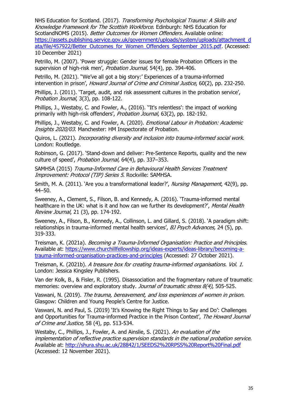NHS Education for Scotland. (2017). Transforming Psychological Trauma: A Skills and Knowledge Framework for The Scottish Workforce. Edinburgh: NHS Education for ScotlandNOMS (2015). Better Outcomes for Women Offenders. Available online: [https://assets.publishing.service.gov.uk/government/uploads/system/uploads/attachment\\_d](https://assets.publishing.service.gov.uk/government/uploads/system/uploads/attachment_data/file/457922/Better_Outcomes_for_Women_Offenders_September_2015.pdf) [ata/file/457922/Better\\_Outcomes\\_for\\_Women\\_Offenders\\_September\\_2015.pdf.](https://assets.publishing.service.gov.uk/government/uploads/system/uploads/attachment_data/file/457922/Better_Outcomes_for_Women_Offenders_September_2015.pdf) (Accessed: 10 December 2021)

Petrillo, M. (2007). 'Power struggle: Gender issues for female Probation Officers in the supervision of high-risk men', Probation Journal, 54(4), pp. 394-406.

Petrillo, M. (2021). ''We've all got a big story:' Experiences of a trauma-informed intervention in prison', *Howard Journal of Crime and Criminal Justice*, 60(2), pp. 232-250.

Phillips, J. (2011). 'Target, audit, and risk assessment cultures in the probation service', Probation Journal, 3(3), pp. 108-122.

Phillips, J., Westaby, C. and Fowler, A., (2016). ''It's relentless': the impact of working primarily with high-risk offenders', Probation Journal, 63(2), pp. 182-192.

Phillips, J., Westaby, C. and Fowler, A. (2020). Emotional Labour in Probation: Academic Insights 2020/03. Manchester: HM Inspectorate of Probation.

Quiros, L. (2021). Incorporating diversity and inclusion into trauma-informed social work. London: Routledge.

Robinson, G. (2017). 'Stand-down and deliver: Pre-Sentence Reports, quality and the new culture of speed', Probation Journal, 64(4), pp. 337-353.

SAMHSA (2015) Trauma-Informed Care in Behavioural Health Services Treatment Improvement: Protocol (TIP) Series 5. Rockville: SAMHSA.

Smith, M. A. (2011). 'Are you a transformational leader?', Nursing Management, 42(9), pp. 44–50.

Sweeney, A., Clement, S., Filson, B. and Kennedy, A. (2016). 'Trauma-informed mental healthcare in the UK: what is it and how can we further its development?', Mental Health Review Journal, 21 (3), pp. 174-192.

Sweeney, A., Filson, B., Kennedy, A., Collinson, L. and Gillard, S. (2018). 'A paradigm shift: relationships in trauma-informed mental health services', BJ Psych Advances, 24 (5), pp. 319-333.

Treisman, K. (2021a). Becoming a Trauma-Informed Organisation: Practice and Principles. Available at: [https://www.churchillfellowship.org/ideas-experts/ideas-library/becoming-a](https://www.churchillfellowship.org/ideas-experts/ideas-library/becoming-a-trauma-informed-organisation-practices-and-principles)[trauma-informed-organisation-practices-and-principles](https://www.churchillfellowship.org/ideas-experts/ideas-library/becoming-a-trauma-informed-organisation-practices-and-principles) (Accessed: 27 October 2021).

Treisman, K. (2021b). A treasure box for creating trauma-informed organisations. Vol. 1. London: Jessica Kingsley Publishers.

Van der Kolk, B., & Fisler, R. (1995). Disassociation and the fragmentary nature of traumatic memories: overview and exploratory study. Journal of traumatic stress 8(4), 505-525.

Vaswani, N. (2019). The trauma, bereavement, and loss experiences of women in prison. Glasgow: Children and Young People's Centre for Justice.

Vaswani, N. and Paul, S. (2019) 'It's Knowing the Right Things to Say and Do': Challenges and Opportunities for Trauma-informed Practice in the Prison Context', The Howard Journal of Crime and Justice, 58 (4), pp. 513-534.

Westaby, C., Phillips, J., Fowler, A. and Ainslie, S. (2021). An evaluation of the implementation of reflective practice supervision standards in the national probation service. Available at:<http://shura.shu.ac.uk/28842/1/SEEDS2%20RPSS%20Report%20Final.pdf> (Accessed: 12 November 2021).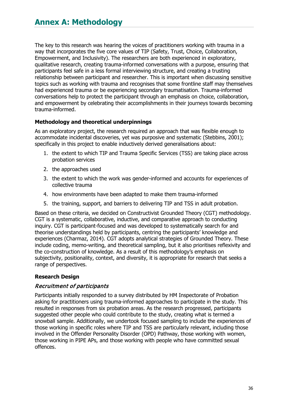<span id="page-35-0"></span>The key to this research was hearing the voices of practitioners working with trauma in a way that incorporates the five core values of TIP (Safety, Trust, Choice, Collaboration, Empowerment, and Inclusivity). The researchers are both experienced in exploratory, qualitative research, creating trauma-informed conversations with a purpose, ensuring that participants feel safe in a less formal interviewing structure, and creating a trusting relationship between participant and researcher. This is important when discussing sensitive topics such as working with trauma and recognises that some frontline staff may themselves had experienced trauma or be experiencing secondary traumatisation. Trauma-informed conversations help to protect the participant through an emphasis on choice, collaboration, and empowerment by celebrating their accomplishments in their journeys towards becoming trauma-informed.

# **Methodology and theoretical underpinnings**

As an exploratory project, the research required an approach that was flexible enough to accommodate incidental discoveries, yet was purposive and systematic (Stebbins, 2001); specifically in this project to enable inductively derived generalisations about:

- 1. the extent to which TIP and Trauma Specific Services (TSS) are taking place across probation services
- 2. the approaches used
- 3. the extent to which the work was gender-informed and accounts for experiences of collective trauma
- 4. how environments have been adapted to make them trauma-informed
- 5. the training, support, and barriers to delivering TIP and TSS in adult probation.

Based on these criteria, we decided on Constructivist Grounded Theory (CGT) methodology. CGT is a systematic, collaborative, inductive, and comparative approach to conducting inquiry. CGT is participant-focused and was developed to systematically search for and theorise understandings held by participants, centring the participants' knowledge and experiences (Charmaz, 2014). CGT adopts analytical strategies of Grounded Theory. These include coding, memo-writing, and theoretical sampling, but it also prioritises reflexivity and the co-construction of knowledge. As a result of this methodology's emphasis on subjectivity, positionality, context, and diversity, it is appropriate for research that seeks a range of perspectives.

#### **Research Design**

#### Recruitment of participants

Participants initially responded to a survey distributed by HM Inspectorate of Probation asking for practitioners using trauma-informed approaches to participate in the study. This resulted in responses from six probation areas. As the research progressed, participants suggested other people who could contribute to the study, creating what is termed a snowball sample. Additionally, we undertook focused sampling to include the experiences of those working in specific roles where TIP and TSS are particularly relevant, including those involved in the Offender Personality Disorder (OPD) Pathway, those working with women, those working in PIPE APs, and those working with people who have committed sexual offences.